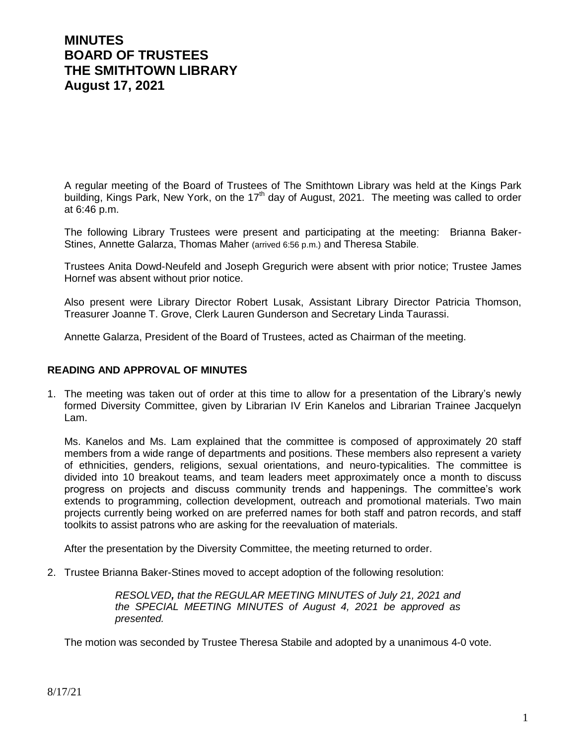# **MINUTES BOARD OF TRUSTEES THE SMITHTOWN LIBRARY August 17, 2021**

A regular meeting of the Board of Trustees of The Smithtown Library was held at the Kings Park building, Kings Park, New York, on the 17<sup>th</sup> day of August, 2021. The meeting was called to order at 6:46 p.m.

The following Library Trustees were present and participating at the meeting: Brianna Baker-Stines, Annette Galarza, Thomas Maher (arrived 6:56 p.m.) and Theresa Stabile.

Trustees Anita Dowd-Neufeld and Joseph Gregurich were absent with prior notice; Trustee James Hornef was absent without prior notice.

Also present were Library Director Robert Lusak, Assistant Library Director Patricia Thomson, Treasurer Joanne T. Grove, Clerk Lauren Gunderson and Secretary Linda Taurassi.

Annette Galarza, President of the Board of Trustees, acted as Chairman of the meeting.

#### **READING AND APPROVAL OF MINUTES**

1. The meeting was taken out of order at this time to allow for a presentation of the Library's newly formed Diversity Committee, given by Librarian IV Erin Kanelos and Librarian Trainee Jacquelyn Lam.

Ms. Kanelos and Ms. Lam explained that the committee is composed of approximately 20 staff members from a wide range of departments and positions. These members also represent a variety of ethnicities, genders, religions, sexual orientations, and neuro-typicalities. The committee is divided into 10 breakout teams, and team leaders meet approximately once a month to discuss progress on projects and discuss community trends and happenings. The committee's work extends to programming, collection development, outreach and promotional materials. Two main projects currently being worked on are preferred names for both staff and patron records, and staff toolkits to assist patrons who are asking for the reevaluation of materials.

After the presentation by the Diversity Committee, the meeting returned to order.

2. Trustee Brianna Baker-Stines moved to accept adoption of the following resolution:

*RESOLVED, that the REGULAR MEETING MINUTES of July 21, 2021 and the SPECIAL MEETING MINUTES of August 4, 2021 be approved as presented.*

The motion was seconded by Trustee Theresa Stabile and adopted by a unanimous 4-0 vote.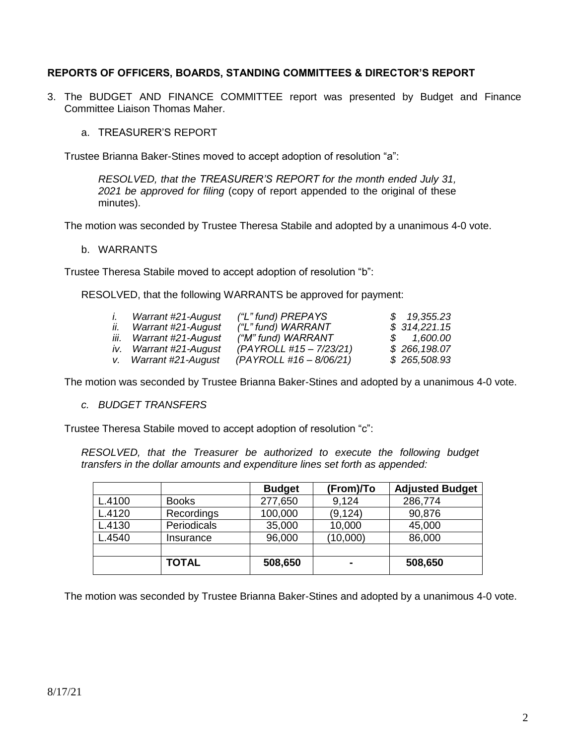## **REPORTS OF OFFICERS, BOARDS, STANDING COMMITTEES & DIRECTOR'S REPORT**

- 3. The BUDGET AND FINANCE COMMITTEE report was presented by Budget and Finance Committee Liaison Thomas Maher.
	- a. TREASURER'S REPORT

Trustee Brianna Baker-Stines moved to accept adoption of resolution "a":

*RESOLVED, that the TREASURER'S REPORT for the month ended July 31, 2021 be approved for filing* (copy of report appended to the original of these minutes).

The motion was seconded by Trustee Theresa Stabile and adopted by a unanimous 4-0 vote.

#### b. WARRANTS

Trustee Theresa Stabile moved to accept adoption of resolution "b":

RESOLVED, that the following WARRANTS be approved for payment:

| $\mathbf{L}$ | Warrant #21-August      | ("L" fund) PREPAYS      | \$19,355.23  |
|--------------|-------------------------|-------------------------|--------------|
| II.          | Warrant #21-August      | ("L" fund) WARRANT      | \$314,221.15 |
|              | iii. Warrant #21-August | ("M" fund) WARRANT      | \$ 1,600.00  |
|              | iv. Warrant #21-August  | (PAYROLL #15 - 7/23/21) | \$266,198.07 |
|              | v. Warrant #21-August   | (PAYROLL #16 - 8/06/21) | \$265,508.93 |

The motion was seconded by Trustee Brianna Baker-Stines and adopted by a unanimous 4-0 vote.

*c. BUDGET TRANSFERS*

Trustee Theresa Stabile moved to accept adoption of resolution "c":

*RESOLVED, that the Treasurer be authorized to execute the following budget transfers in the dollar amounts and expenditure lines set forth as appended:*

|        |              | <b>Budget</b> | (From)/To      | <b>Adjusted Budget</b> |
|--------|--------------|---------------|----------------|------------------------|
| L.4100 | <b>Books</b> | 277,650       | 9,124          | 286,774                |
| L.4120 | Recordings   | 100,000       | (9, 124)       | 90,876                 |
| L.4130 | Periodicals  | 35,000        | 10,000         | 45,000                 |
| L.4540 | Insurance    | 96,000        | (10,000)       | 86,000                 |
|        |              |               |                |                        |
|        | <b>TOTAL</b> | 508,650       | $\blacksquare$ | 508,650                |

The motion was seconded by Trustee Brianna Baker-Stines and adopted by a unanimous 4-0 vote.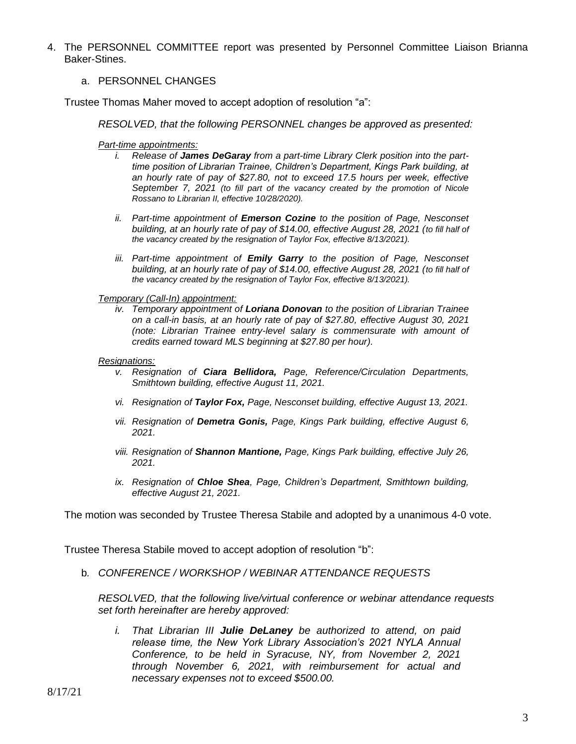4. The PERSONNEL COMMITTEE report was presented by Personnel Committee Liaison Brianna Baker-Stines.

#### a. PERSONNEL CHANGES

Trustee Thomas Maher moved to accept adoption of resolution "a":

*RESOLVED, that the following PERSONNEL changes be approved as presented:*

- *Part-time appointments:*
	- i. Release of James DeGaray from a part-time Library Clerk position into the part*time position of Librarian Trainee, Children's Department, Kings Park building, at an hourly rate of pay of \$27.80, not to exceed 17.5 hours per week, effective September 7, 2021 (to fill part of the vacancy created by the promotion of Nicole Rossano to Librarian II, effective 10/28/2020).*
	- *ii. Part-time appointment of Emerson Cozine to the position of Page, Nesconset building, at an hourly rate of pay of \$14.00, effective August 28, 2021 (to fill half of the vacancy created by the resignation of Taylor Fox, effective 8/13/2021).*
	- *iii. Part-time appointment of Emily Garry to the position of Page, Nesconset building, at an hourly rate of pay of \$14.00, effective August 28, 2021 (to fill half of the vacancy created by the resignation of Taylor Fox, effective 8/13/2021).*

*Temporary (Call-In) appointment:*

*iv. Temporary appointment of Loriana Donovan to the position of Librarian Trainee on a call-in basis, at an hourly rate of pay of \$27.80, effective August 30, 2021 (note: Librarian Trainee entry-level salary is commensurate with amount of credits earned toward MLS beginning at \$27.80 per hour).*

#### *Resignations:*

- *v. Resignation of Ciara Bellidora, Page, Reference/Circulation Departments, Smithtown building, effective August 11, 2021.*
- *vi. Resignation of Taylor Fox, Page, Nesconset building, effective August 13, 2021.*
- *vii. Resignation of Demetra Gonis, Page, Kings Park building, effective August 6, 2021.*
- *viii. Resignation of Shannon Mantione, Page, Kings Park building, effective July 26, 2021.*
- *ix. Resignation of Chloe Shea, Page, Children's Department, Smithtown building, effective August 21, 2021.*

The motion was seconded by Trustee Theresa Stabile and adopted by a unanimous 4-0 vote.

Trustee Theresa Stabile moved to accept adoption of resolution "b":

b*. CONFERENCE / WORKSHOP / WEBINAR ATTENDANCE REQUESTS*

*RESOLVED, that the following live/virtual conference or webinar attendance requests set forth hereinafter are hereby approved:*

*i. That Librarian III Julie DeLaney be authorized to attend, on paid release time, the New York Library Association's 2021 NYLA Annual Conference, to be held in Syracuse, NY, from November 2, 2021 through November 6, 2021, with reimbursement for actual and necessary expenses not to exceed \$500.00.*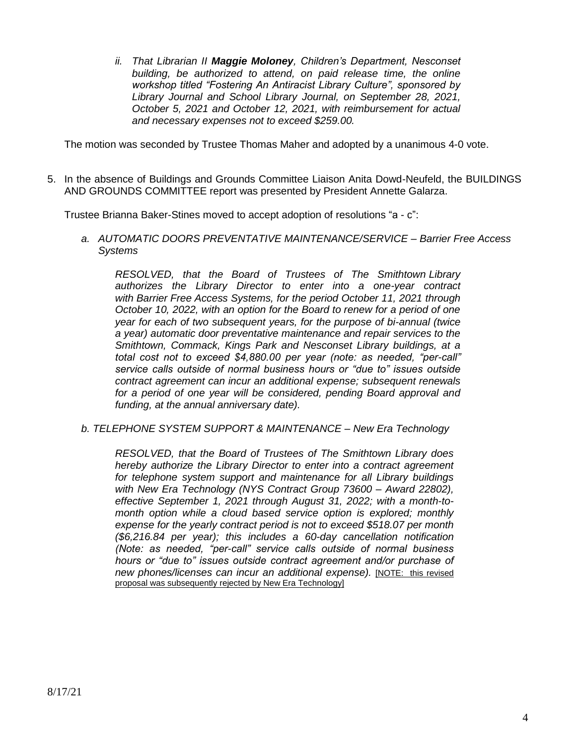*ii. That Librarian II Maggie Moloney, Children's Department, Nesconset building, be authorized to attend, on paid release time, the online workshop titled "Fostering An Antiracist Library Culture", sponsored by Library Journal and School Library Journal, on September 28, 2021, October 5, 2021 and October 12, 2021, with reimbursement for actual and necessary expenses not to exceed \$259.00.*

The motion was seconded by Trustee Thomas Maher and adopted by a unanimous 4-0 vote.

5. In the absence of Buildings and Grounds Committee Liaison Anita Dowd-Neufeld, the BUILDINGS AND GROUNDS COMMITTEE report was presented by President Annette Galarza.

Trustee Brianna Baker-Stines moved to accept adoption of resolutions "a - c":

*a. AUTOMATIC DOORS PREVENTATIVE MAINTENANCE/SERVICE – Barrier Free Access Systems*

*RESOLVED, that the Board of Trustees of The Smithtown Library authorizes the Library Director to enter into a one-year contract with Barrier Free Access Systems, for the period October 11, 2021 through October 10, 2022, with an option for the Board to renew for a period of one year for each of two subsequent years, for the purpose of bi-annual (twice a year) automatic door preventative maintenance and repair services to the Smithtown, Commack, Kings Park and Nesconset Library buildings, at a total cost not to exceed \$4,880.00 per year (note: as needed, "per-call" service calls outside of normal business hours or "due to" issues outside contract agreement can incur an additional expense; subsequent renewals for a period of one year will be considered, pending Board approval and funding, at the annual anniversary date).* 

*b. TELEPHONE SYSTEM SUPPORT & MAINTENANCE – New Era Technology*

*RESOLVED, that the Board of Trustees of The Smithtown Library does hereby authorize the Library Director to enter into a contract agreement for telephone system support and maintenance for all Library buildings with New Era Technology (NYS Contract Group 73600 – Award 22802), effective September 1, 2021 through August 31, 2022; with a month-tomonth option while a cloud based service option is explored; monthly expense for the yearly contract period is not to exceed \$518.07 per month (\$6,216.84 per year); this includes a 60-day cancellation notification (Note: as needed, "per-call" service calls outside of normal business hours or "due to" issues outside contract agreement and/or purchase of new phones/licenses can incur an additional expense).* [NOTE: this revised proposal was subsequently rejected by New Era Technology]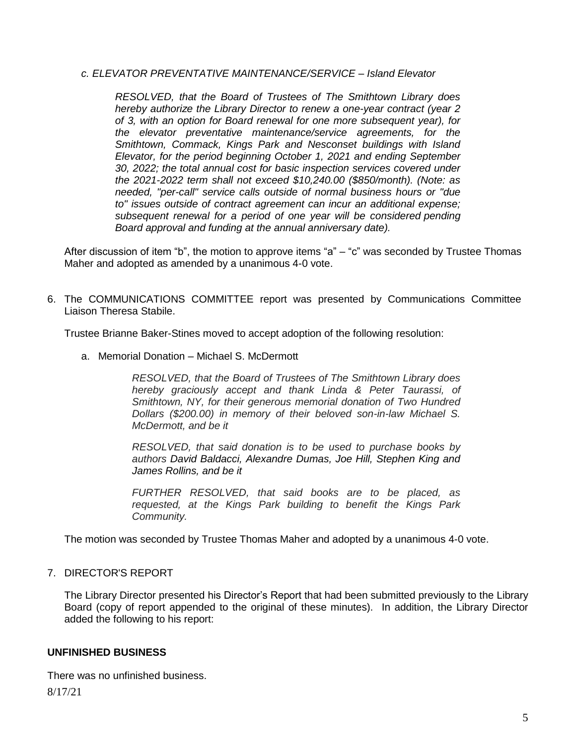#### *c. ELEVATOR PREVENTATIVE MAINTENANCE/SERVICE – Island Elevator*

*RESOLVED, that the Board of Trustees of The Smithtown Library does hereby authorize the Library Director to renew a one-year contract (year 2 of 3, with an option for Board renewal for one more subsequent year), for the elevator preventative maintenance/service agreements, for the Smithtown, Commack, Kings Park and Nesconset buildings with Island Elevator, for the period beginning October 1, 2021 and ending September 30, 2022; the total annual cost for basic inspection services covered under the 2021-2022 term shall not exceed \$10,240.00 (\$850/month). (Note: as needed, "per-call" service calls outside of normal business hours or "due to" issues outside of contract agreement can incur an additional expense; subsequent renewal for a period of one year will be considered pending Board approval and funding at the annual anniversary date).*

After discussion of item "b", the motion to approve items "a" – "c" was seconded by Trustee Thomas Maher and adopted as amended by a unanimous 4-0 vote.

6. The COMMUNICATIONS COMMITTEE report was presented by Communications Committee Liaison Theresa Stabile.

Trustee Brianne Baker-Stines moved to accept adoption of the following resolution:

a. Memorial Donation – Michael S. McDermott

*RESOLVED, that the Board of Trustees of The Smithtown Library does hereby graciously accept and thank Linda & Peter Taurassi, of Smithtown, NY, for their generous memorial donation of Two Hundred Dollars (\$200.00) in memory of their beloved son-in-law Michael S. McDermott, and be it* 

*RESOLVED, that said donation is to be used to purchase books by authors David Baldacci, Alexandre Dumas, Joe Hill, Stephen King and James Rollins, and be it* 

*FURTHER RESOLVED, that said books are to be placed, as requested, at the Kings Park building to benefit the Kings Park Community.*

The motion was seconded by Trustee Thomas Maher and adopted by a unanimous 4-0 vote.

## 7. DIRECTOR'S REPORT

The Library Director presented his Director's Report that had been submitted previously to the Library Board (copy of report appended to the original of these minutes). In addition, the Library Director added the following to his report:

## **UNFINISHED BUSINESS**

There was no unfinished business.

8/17/21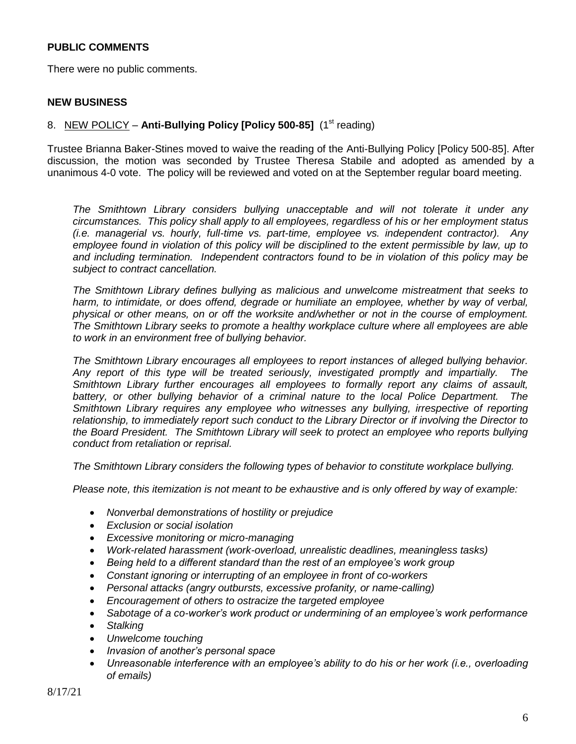### **PUBLIC COMMENTS**

There were no public comments.

#### **NEW BUSINESS**

#### 8. NEW POLICY – **Anti-Bullying Policy [Policy 500-85]** (1<sup>st</sup> reading)

Trustee Brianna Baker-Stines moved to waive the reading of the Anti-Bullying Policy [Policy 500-85]. After discussion, the motion was seconded by Trustee Theresa Stabile and adopted as amended by a unanimous 4-0 vote. The policy will be reviewed and voted on at the September regular board meeting.

*The Smithtown Library considers bullying unacceptable and will not tolerate it under any circumstances. This policy shall apply to all employees, regardless of his or her employment status (i.e. managerial vs. hourly, full-time vs. part-time, employee vs. independent contractor). Any employee found in violation of this policy will be disciplined to the extent permissible by law, up to and including termination. Independent contractors found to be in violation of this policy may be subject to contract cancellation.*

*The Smithtown Library defines bullying as malicious and unwelcome mistreatment that seeks to*  harm, to intimidate, or does offend, degrade or humiliate an employee, whether by way of verbal, *physical or other means, on or off the worksite and/whether or not in the course of employment. The Smithtown Library seeks to promote a healthy workplace culture where all employees are able to work in an environment free of bullying behavior.*

*The Smithtown Library encourages all employees to report instances of alleged bullying behavior. Any report of this type will be treated seriously, investigated promptly and impartially. The Smithtown Library further encourages all employees to formally report any claims of assault, battery, or other bullying behavior of a criminal nature to the local Police Department. The Smithtown Library requires any employee who witnesses any bullying, irrespective of reporting relationship, to immediately report such conduct to the Library Director or if involving the Director to the Board President. The Smithtown Library will seek to protect an employee who reports bullying conduct from retaliation or reprisal.*

*The Smithtown Library considers the following types of behavior to constitute workplace bullying.*

*Please note, this itemization is not meant to be exhaustive and is only offered by way of example:*

- *Nonverbal demonstrations of hostility or prejudice*
- *Exclusion or social isolation*
- *Excessive monitoring or micro-managing*
- *Work-related harassment (work-overload, unrealistic deadlines, meaningless tasks)*
- *Being held to a different standard than the rest of an employee's work group*
- *Constant ignoring or interrupting of an employee in front of co-workers*
- *Personal attacks (angry outbursts, excessive profanity, or name-calling)*
- *Encouragement of others to ostracize the targeted employee*
- *Sabotage of a co-worker's work product or undermining of an employee's work performance*
- *Stalking*
- *Unwelcome touching*
- *Invasion of another's personal space*
- *Unreasonable interference with an employee's ability to do his or her work (i.e., overloading of emails)*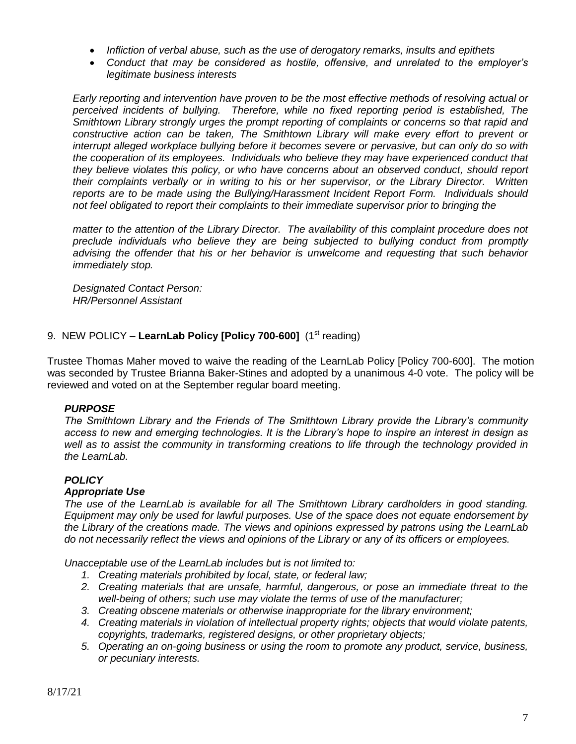- *Infliction of verbal abuse, such as the use of derogatory remarks, insults and epithets*
- *Conduct that may be considered as hostile, offensive, and unrelated to the employer's legitimate business interests*

*Early reporting and intervention have proven to be the most effective methods of resolving actual or perceived incidents of bullying. Therefore, while no fixed reporting period is established, The Smithtown Library strongly urges the prompt reporting of complaints or concerns so that rapid and*  constructive action can be taken, The Smithtown Library will make every effort to prevent or *interrupt alleged workplace bullying before it becomes severe or pervasive, but can only do so with the cooperation of its employees. Individuals who believe they may have experienced conduct that they believe violates this policy, or who have concerns about an observed conduct, should report their complaints verbally or in writing to his or her supervisor, or the Library Director. Written reports are to be made using the Bullying/Harassment Incident Report Form. Individuals should not feel obligated to report their complaints to their immediate supervisor prior to bringing the* 

*matter to the attention of the Library Director. The availability of this complaint procedure does not preclude individuals who believe they are being subjected to bullying conduct from promptly advising the offender that his or her behavior is unwelcome and requesting that such behavior immediately stop.*

*Designated Contact Person: HR/Personnel Assistant*

## 9. NEW POLICY – LearnLab Policy [Policy 700-600] (1<sup>st</sup> reading)

Trustee Thomas Maher moved to waive the reading of the LearnLab Policy [Policy 700-600]. The motion was seconded by Trustee Brianna Baker-Stines and adopted by a unanimous 4-0 vote. The policy will be reviewed and voted on at the September regular board meeting.

# *PURPOSE*

*The Smithtown Library and the Friends of The Smithtown Library provide the Library's community access to new and emerging technologies. It is the Library's hope to inspire an interest in design as well as to assist the community in transforming creations to life through the technology provided in the LearnLab.* 

## *POLICY*

## *Appropriate Use*

*The use of the LearnLab is available for all The Smithtown Library cardholders in good standing. Equipment may only be used for lawful purposes. Use of the space does not equate endorsement by the Library of the creations made. The views and opinions expressed by patrons using the LearnLab do not necessarily reflect the views and opinions of the Library or any of its officers or employees.*

*Unacceptable use of the LearnLab includes but is not limited to:*

- *1. Creating materials prohibited by local, state, or federal law;*
- *2. Creating materials that are unsafe, harmful, dangerous, or pose an immediate threat to the well-being of others; such use may violate the terms of use of the manufacturer;*
- *3. Creating obscene materials or otherwise inappropriate for the library environment;*
- *4. Creating materials in violation of intellectual property rights; objects that would violate patents, copyrights, trademarks, registered designs, or other proprietary objects;*
- *5. Operating an on-going business or using the room to promote any product, service, business, or pecuniary interests.*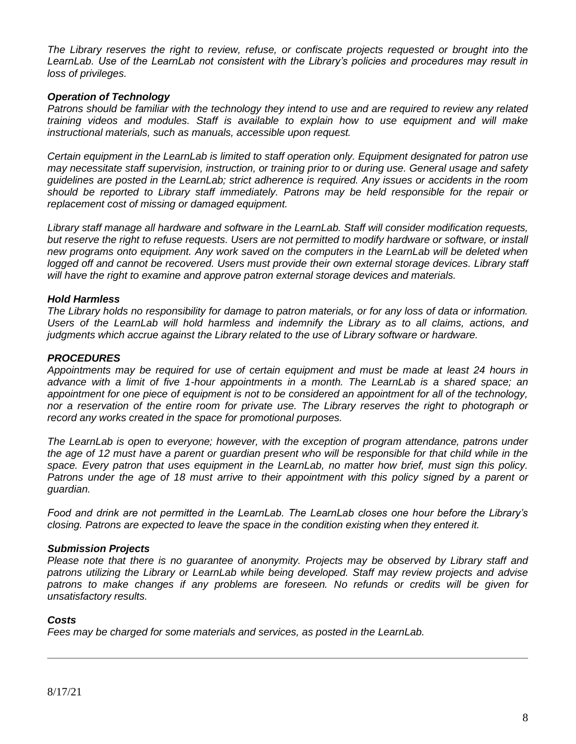*The Library reserves the right to review, refuse, or confiscate projects requested or brought into the LearnLab. Use of the LearnLab not consistent with the Library's policies and procedures may result in loss of privileges.*

### *Operation of Technology*

*Patrons should be familiar with the technology they intend to use and are required to review any related training videos and modules. Staff is available to explain how to use equipment and will make instructional materials, such as manuals, accessible upon request.* 

*Certain equipment in the LearnLab is limited to staff operation only. Equipment designated for patron use may necessitate staff supervision, instruction, or training prior to or during use. General usage and safety guidelines are posted in the LearnLab; strict adherence is required. Any issues or accidents in the room should be reported to Library staff immediately. Patrons may be held responsible for the repair or replacement cost of missing or damaged equipment.*

*Library staff manage all hardware and software in the LearnLab. Staff will consider modification requests, but reserve the right to refuse requests. Users are not permitted to modify hardware or software, or install new programs onto equipment. Any work saved on the computers in the LearnLab will be deleted when*  logged off and cannot be recovered. Users must provide their own external storage devices. Library staff *will have the right to examine and approve patron external storage devices and materials.*

#### *Hold Harmless*

*The Library holds no responsibility for damage to patron materials, or for any loss of data or information. Users of the LearnLab will hold harmless and indemnify the Library as to all claims, actions, and judgments which accrue against the Library related to the use of Library software or hardware.*

#### *PROCEDURES*

*Appointments may be required for use of certain equipment and must be made at least 24 hours in advance with a limit of five 1-hour appointments in a month. The LearnLab is a shared space; an appointment for one piece of equipment is not to be considered an appointment for all of the technology, nor a reservation of the entire room for private use. The Library reserves the right to photograph or record any works created in the space for promotional purposes.*

*The LearnLab is open to everyone; however, with the exception of program attendance, patrons under the age of 12 must have a parent or guardian present who will be responsible for that child while in the space. Every patron that uses equipment in the LearnLab, no matter how brief, must sign this policy. Patrons under the age of 18 must arrive to their appointment with this policy signed by a parent or guardian.*

*Food and drink are not permitted in the LearnLab. The LearnLab closes one hour before the Library's closing. Patrons are expected to leave the space in the condition existing when they entered it.*

#### *Submission Projects*

*Please note that there is no guarantee of anonymity. Projects may be observed by Library staff and patrons utilizing the Library or LearnLab while being developed. Staff may review projects and advise*  patrons to make changes if any problems are foreseen. No refunds or credits will be given for *unsatisfactory results.*

#### *Costs*

*Fees may be charged for some materials and services, as posted in the LearnLab.*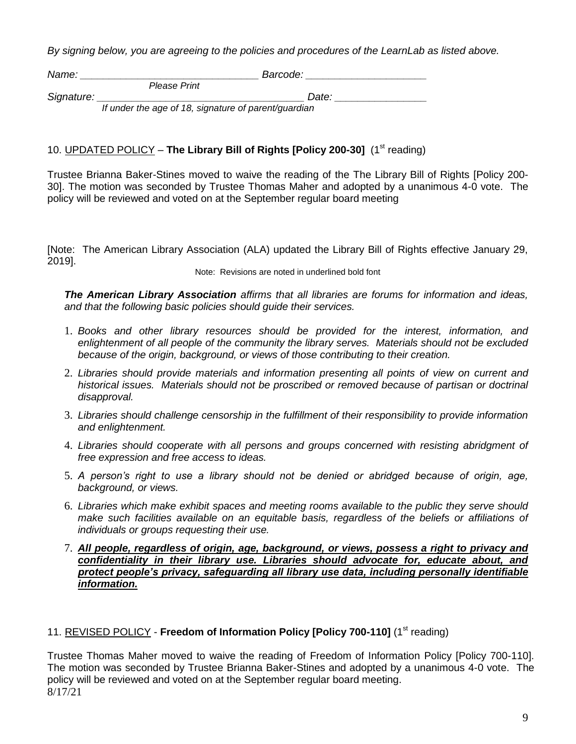*By signing below, you are agreeing to the policies and procedures of the LearnLab as listed above.*

| Name:      |                                                      | Barcode: |  |
|------------|------------------------------------------------------|----------|--|
|            | Please Print                                         |          |  |
| Signature: |                                                      | Date:    |  |
|            | If under the age of 18, signature of parent/guardian |          |  |

# 10. UPDATED POLICY - The Library Bill of Rights [Policy 200-30] (1<sup>st</sup> reading)

Trustee Brianna Baker-Stines moved to waive the reading of the The Library Bill of Rights [Policy 200- 30]. The motion was seconded by Trustee Thomas Maher and adopted by a unanimous 4-0 vote. The policy will be reviewed and voted on at the September regular board meeting

[Note: The American Library Association (ALA) updated the Library Bill of Rights effective January 29, 2019].

Note: Revisions are noted in underlined bold font

*The American Library Association affirms that all libraries are forums for information and ideas, and that the following basic policies should guide their services.*

- 1. *Books and other library resources should be provided for the interest, information, and enlightenment of all people of the community the library serves. Materials should not be excluded because of the origin, background, or views of those contributing to their creation.*
- 2. *Libraries should provide materials and information presenting all points of view on current and historical issues. Materials should not be proscribed or removed because of partisan or doctrinal disapproval.*
- 3. *Libraries should challenge censorship in the fulfillment of their responsibility to provide information and enlightenment.*
- 4. *Libraries should cooperate with all persons and groups concerned with resisting abridgment of free expression and free access to ideas.*
- 5. *A person's right to use a library should not be denied or abridged because of origin, age, background, or views.*
- 6. *Libraries which make exhibit spaces and meeting rooms available to the public they serve should make such facilities available on an equitable basis, regardless of the beliefs or affiliations of individuals or groups requesting their use.*
- 7. *All people, regardless of origin, age, background, or views, possess a right to privacy and confidentiality in their library use. Libraries should advocate for, educate about, and protect people's privacy, safeguarding all library use data, including personally identifiable information.*

# 11. REVISED POLICY - **Freedom of Information Policy [Policy 700-110]** (1<sup>st</sup> reading)

8/17/21 Trustee Thomas Maher moved to waive the reading of Freedom of Information Policy [Policy 700-110]. The motion was seconded by Trustee Brianna Baker-Stines and adopted by a unanimous 4-0 vote. The policy will be reviewed and voted on at the September regular board meeting.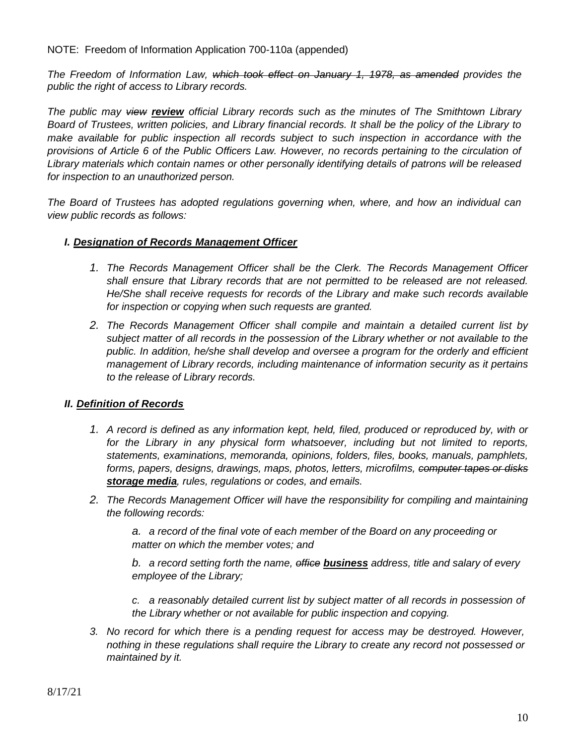NOTE: Freedom of Information Application 700-110a (appended)

*The Freedom of Information Law, which took effect on January 1, 1978, as amended provides the public the right of access to Library records.*

*The public may view review official Library records such as the minutes of The Smithtown Library Board of Trustees, written policies, and Library financial records. It shall be the policy of the Library to make available for public inspection all records subject to such inspection in accordance with the provisions of Article 6 of the Public Officers Law. However, no records pertaining to the circulation of Library materials which contain names or other personally identifying details of patrons will be released for inspection to an unauthorized person.*

*The Board of Trustees has adopted regulations governing when, where, and how an individual can view public records as follows:*

# *I. Designation of Records Management Officer*

- *1. The Records Management Officer shall be the Clerk. The Records Management Officer shall ensure that Library records that are not permitted to be released are not released. He/She shall receive requests for records of the Library and make such records available for inspection or copying when such requests are granted.*
- *2. The Records Management Officer shall compile and maintain a detailed current list by subject matter of all records in the possession of the Library whether or not available to the public. In addition, he/she shall develop and oversee a program for the orderly and efficient management of Library records, including maintenance of information security as it pertains to the release of Library records.*

# *II. Definition of Records*

- *1. A record is defined as any information kept, held, filed, produced or reproduced by, with or for the Library in any physical form whatsoever, including but not limited to reports, statements, examinations, memoranda, opinions, folders, files, books, manuals, pamphlets, forms, papers, designs, drawings, maps, photos, letters, microfilms, computer tapes or disks storage media, rules, regulations or codes, and emails.*
- *2. The Records Management Officer will have the responsibility for compiling and maintaining the following records:*

*a. a record of the final vote of each member of the Board on any proceeding or matter on which the member votes; and*

*b. a record setting forth the name, office business address, title and salary of every employee of the Library;*

*c. a reasonably detailed current list by subject matter of all records in possession of the Library whether or not available for public inspection and copying.*

*3. No record for which there is a pending request for access may be destroyed. However, nothing in these regulations shall require the Library to create any record not possessed or maintained by it.*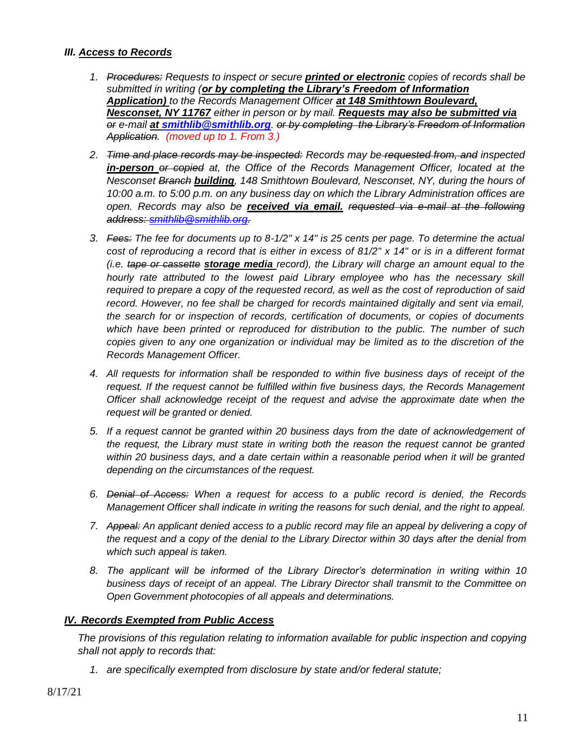## *III. Access to Records*

- *1. Procedures: Requests to inspect or secure printed or electronic copies of records shall be submitted in writing (or by completing the Library's Freedom of Information Application) to the Records Management Officer at 148 Smithtown Boulevard, Nesconset, NY 11767 either in person or by mail. Requests may also be submitted via or e-mail at smithlib@smithlib.org. or by completing the Library's Freedom of Information Application. (moved up to 1. From 3.)*
- *2. Time and place records may be inspected: Records may be requested from, and inspected in-person or copied at, the Office of the Records Management Officer, located at the Nesconset Branch building, 148 Smithtown Boulevard, Nesconset, NY, during the hours of 10:00 a.m. to 5:00 p.m. on any business day on which the Library Administration offices are open. Records may also be received via email. requested via e-mail at the following address: [smithlib@smithlib.org.](mailto:smithlib@smithlib.org)*
- *3. Fees: The fee for documents up to 8-1/2" x 14" is 25 cents per page. To determine the actual cost of reproducing a record that is either in excess of 81/2" x 14" or is in a different format (i.e. tape or cassette storage media record), the Library will charge an amount equal to the hourly rate attributed to the lowest paid Library employee who has the necessary skill required to prepare a copy of the requested record, as well as the cost of reproduction of said record. However, no fee shall be charged for records maintained digitally and sent via email, the search for or inspection of records, certification of documents, or copies of documents which have been printed or reproduced for distribution to the public. The number of such copies given to any one organization or individual may be limited as to the discretion of the Records Management Officer.*
- *4. All requests for information shall be responded to within five business days of receipt of the request. If the request cannot be fulfilled within five business days, the Records Management Officer shall acknowledge receipt of the request and advise the approximate date when the request will be granted or denied.*
- *5. If a request cannot be granted within 20 business days from the date of acknowledgement of the request, the Library must state in writing both the reason the request cannot be granted within 20 business days, and a date certain within a reasonable period when it will be granted depending on the circumstances of the request.*
- *6. Denial of Access: When a request for access to a public record is denied, the Records Management Officer shall indicate in writing the reasons for such denial, and the right to appeal.*
- *7. Appeal: An applicant denied access to a public record may file an appeal by delivering a copy of the request and a copy of the denial to the Library Director within 30 days after the denial from which such appeal is taken.*
- *8. The applicant will be informed of the Library Director's determination in writing within 10 business days of receipt of an appeal. The Library Director shall transmit to the Committee on Open Government photocopies of all appeals and determinations.*

# *IV. Records Exempted from Public Access*

*The provisions of this regulation relating to information available for public inspection and copying shall not apply to records that:*

*1. are specifically exempted from disclosure by state and/or federal statute;*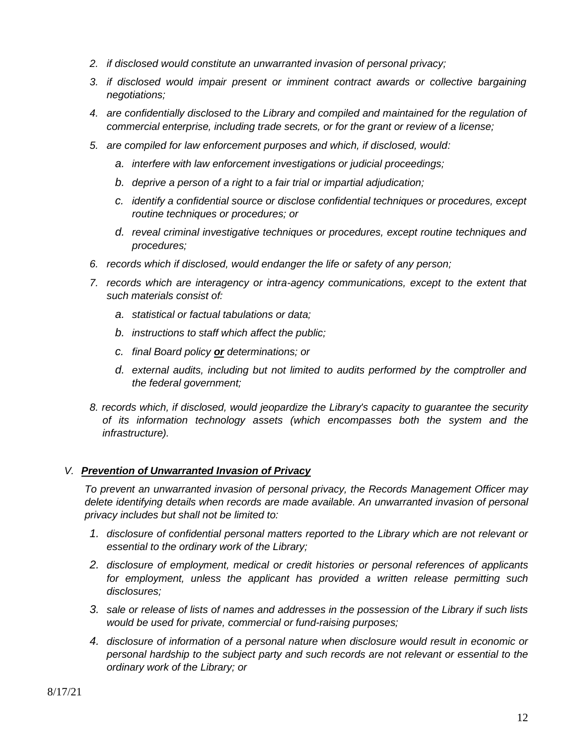- *2. if disclosed would constitute an unwarranted invasion of personal privacy;*
- *3. if disclosed would impair present or imminent contract awards or collective bargaining negotiations;*
- *4. are confidentially disclosed to the Library and compiled and maintained for the regulation of commercial enterprise, including trade secrets, or for the grant or review of a license;*
- *5. are compiled for law enforcement purposes and which, if disclosed, would:*
	- *a. interfere with law enforcement investigations or judicial proceedings;*
	- *b. deprive a person of a right to a fair trial or impartial adjudication;*
	- *c. identify a confidential source or disclose confidential techniques or procedures, except routine techniques or procedures; or*
	- *d. reveal criminal investigative techniques or procedures, except routine techniques and procedures;*
- *6. records which if disclosed, would endanger the life or safety of any person;*
- *7. records which are interagency or intra-agency communications, except to the extent that such materials consist of:*
	- *a. statistical or factual tabulations or data;*
	- *b. instructions to staff which affect the public;*
	- *c. final Board policy or determinations; or*
	- *d. external audits, including but not limited to audits performed by the comptroller and the federal government;*
- *8. records which, if disclosed, would jeopardize the Library's capacity to guarantee the security of its information technology assets (which encompasses both the system and the infrastructure).*

# *V. Prevention of Unwarranted Invasion of Privacy*

*To prevent an unwarranted invasion of personal privacy, the Records Management Officer may delete identifying details when records are made available. An unwarranted invasion of personal privacy includes but shall not be limited to:*

- *1. disclosure of confidential personal matters reported to the Library which are not relevant or essential to the ordinary work of the Library;*
- *2. disclosure of employment, medical or credit histories or personal references of applicants for employment, unless the applicant has provided a written release permitting such disclosures;*
- *3. sale or release of lists of names and addresses in the possession of the Library if such lists would be used for private, commercial or fund-raising purposes;*
- *4. disclosure of information of a personal nature when disclosure would result in economic or personal hardship to the subject party and such records are not relevant or essential to the ordinary work of the Library; or*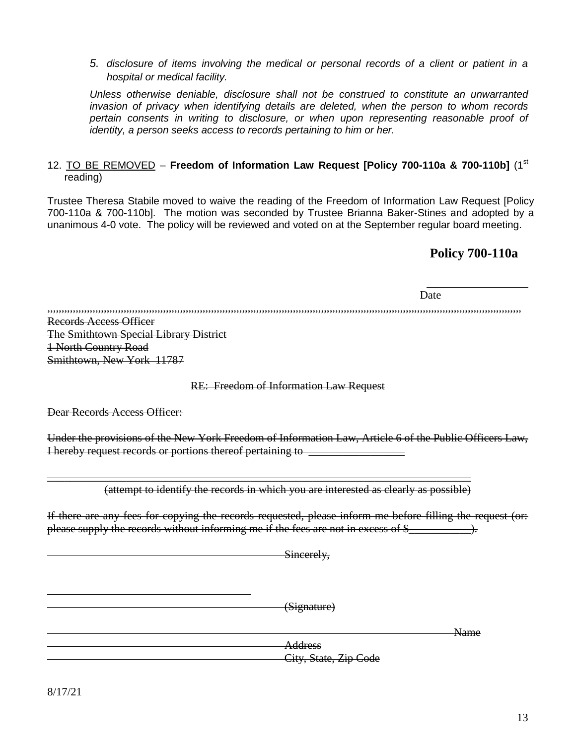# *5. disclosure of items involving the medical or personal records of a client or patient in a hospital or medical facility.*

*Unless otherwise deniable, disclosure shall not be construed to constitute an unwarranted invasion of privacy when identifying details are deleted, when the person to whom records pertain consents in writing to disclosure, or when upon representing reasonable proof of identity, a person seeks access to records pertaining to him or her.*

# 12. TO BE REMOVED – **Freedom of Information Law Request [Policy 700-110a & 700-110b]** (1st reading)

Trustee Theresa Stabile moved to waive the reading of the Freedom of Information Law Request [Policy 700-110a & 700-110b]. The motion was seconded by Trustee Brianna Baker-Stines and adopted by a unanimous 4-0 vote. The policy will be reviewed and voted on at the September regular board meeting.

# **Policy 700-110a**

Date

,,,,,,,,,,,,,,,,,,,,,,,,,,,,,,,,,,,,,,,,,,,,,,,,,,,,,,,,,,,,,,,,,,,,,,,,,,,,,,,,,,,,,,,,,,,,,,,,,,,,,,,,,,,,,,,,,,,,,,,,,,,,,,,,,,,,,,,,,,,,,,,,,,,,,,,,,,,,,,,,,,,,,,,,

Records Access Officer The Smithtown Special Library District 1 North Country Road Smithtown, New York 11787

RE: Freedom of Information Law Request

Dear Records Access Officer:

Under the provisions of the New York Freedom of Information Law, Article 6 of the Public Officers Law, I hereby request records or portions thereof pertaining to \_\_\_\_\_\_\_\_\_\_\_\_\_\_\_\_\_

\_\_\_\_\_\_\_\_\_\_\_\_\_\_\_\_\_\_\_\_\_\_\_\_\_\_\_\_\_\_\_\_\_\_\_\_\_\_\_\_\_\_\_\_\_\_\_\_\_\_\_\_\_\_\_\_\_\_\_\_\_\_\_\_\_\_\_\_\_\_\_\_\_\_\_ (attempt to identify the records in which you are interested as clearly as possible)

If there are any fees for copying the records requested, please inform me before filling the request (or: please supply the records without informing me if the fees are not in excess of  $\frac{1}{2}$   $\rightarrow$ .

Sincerely.

(Signature)

City, State, Zip Code

**Address** 

Name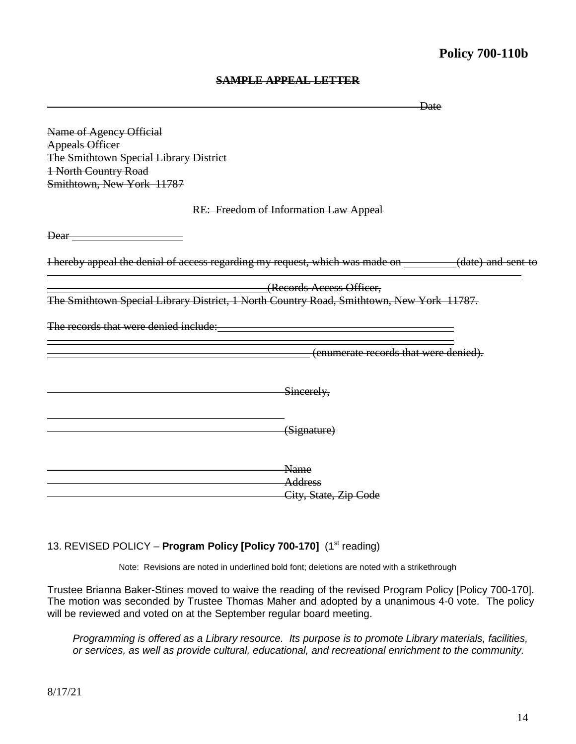# **Policy 700-110b**

|                                                                                                                |                                                                                                        | Date |
|----------------------------------------------------------------------------------------------------------------|--------------------------------------------------------------------------------------------------------|------|
| Name of Agency Official                                                                                        |                                                                                                        |      |
| <b>Appeals Officer</b>                                                                                         |                                                                                                        |      |
| The Smithtown Special Library District                                                                         |                                                                                                        |      |
| 1 North Country Road                                                                                           |                                                                                                        |      |
| Smithtown, New York 11787                                                                                      |                                                                                                        |      |
|                                                                                                                | RE: Freedom of Information Law Appeal                                                                  |      |
| Dear-                                                                                                          |                                                                                                        |      |
|                                                                                                                | I hereby appeal the denial of access regarding my request, which was made on _______(date) and sent to |      |
|                                                                                                                | (Records Access Officer,                                                                               |      |
|                                                                                                                | The Smithtown Special Library District, 1 North Country Road, Smithtown, New York 11787.               |      |
| The records that were denied include: The records of the records of the vertex of the records of the vertex of |                                                                                                        |      |
|                                                                                                                | (enumerate records that were denied).                                                                  |      |
|                                                                                                                | Sincerely,                                                                                             |      |
|                                                                                                                | (Signature)                                                                                            |      |
|                                                                                                                | Name                                                                                                   |      |
|                                                                                                                | <b>Address</b>                                                                                         |      |
|                                                                                                                | City, State, Zip Code                                                                                  |      |

## **SAMPLE APPEAL LETTER**

# 13. REVISED POLICY - Program Policy [Policy 700-170] (1<sup>st</sup> reading)

Note: Revisions are noted in underlined bold font; deletions are noted with a strikethrough

Trustee Brianna Baker-Stines moved to waive the reading of the revised Program Policy [Policy 700-170]. The motion was seconded by Trustee Thomas Maher and adopted by a unanimous 4-0 vote. The policy will be reviewed and voted on at the September regular board meeting.

*Programming is offered as a Library resource. Its purpose is to promote Library materials, facilities, or services, as well as provide cultural, educational, and recreational enrichment to the community.*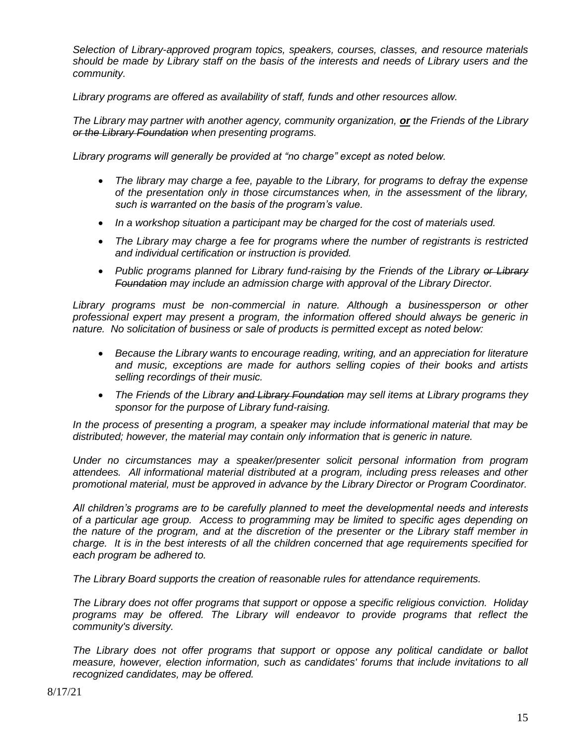*Selection of Library-approved program topics, speakers, courses, classes, and resource materials should be made by Library staff on the basis of the interests and needs of Library users and the community.*

*Library programs are offered as availability of staff, funds and other resources allow.*

*The Library may partner with another agency, community organization, or the Friends of the Library or the Library Foundation when presenting programs.* 

*Library programs will generally be provided at "no charge" except as noted below.* 

- *The library may charge a fee, payable to the Library, for programs to defray the expense of the presentation only in those circumstances when, in the assessment of the library, such is warranted on the basis of the program's value.*
- In a workshop situation a participant may be charged for the cost of materials used.
- *The Library may charge a fee for programs where the number of registrants is restricted and individual certification or instruction is provided.*
- Public programs planned for Library fund-raising by the Friends of the Library of Library *Foundation may include an admission charge with approval of the Library Director.*

Library programs must be non-commercial in nature. Although a businessperson or other *professional expert may present a program, the information offered should always be generic in nature. No solicitation of business or sale of products is permitted except as noted below:*

- *Because the Library wants to encourage reading, writing, and an appreciation for literature and music, exceptions are made for authors selling copies of their books and artists selling recordings of their music.*
- *The Friends of the Library and Library Foundation may sell items at Library programs they sponsor for the purpose of Library fund-raising.*

*In the process of presenting a program, a speaker may include informational material that may be distributed; however, the material may contain only information that is generic in nature.* 

*Under no circumstances may a speaker/presenter solicit personal information from program attendees. All informational material distributed at a program, including press releases and other promotional material, must be approved in advance by the Library Director or Program Coordinator.* 

*All children's programs are to be carefully planned to meet the developmental needs and interests of a particular age group. Access to programming may be limited to specific ages depending on the nature of the program, and at the discretion of the presenter or the Library staff member in charge. It is in the best interests of all the children concerned that age requirements specified for each program be adhered to.* 

*The Library Board supports the creation of reasonable rules for attendance requirements.* 

*The Library does not offer programs that support or oppose a specific religious conviction. Holiday programs may be offered. The Library will endeavor to provide programs that reflect the community's diversity.* 

*The Library does not offer programs that support or oppose any political candidate or ballot measure, however, election information, such as candidates' forums that include invitations to all recognized candidates, may be offered.*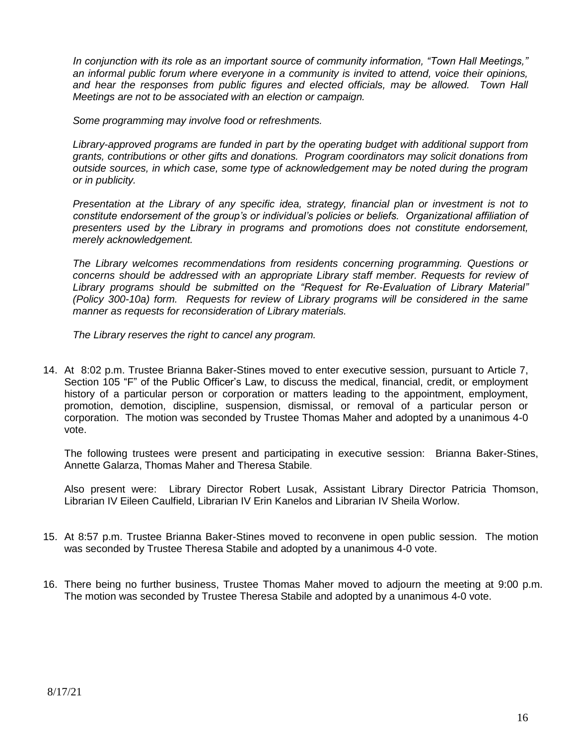*In conjunction with its role as an important source of community information, "Town Hall Meetings," an informal public forum where everyone in a community is invited to attend, voice their opinions, and hear the responses from public figures and elected officials, may be allowed. Town Hall Meetings are not to be associated with an election or campaign.*

*Some programming may involve food or refreshments.* 

*Library-approved programs are funded in part by the operating budget with additional support from grants, contributions or other gifts and donations. Program coordinators may solicit donations from outside sources, in which case, some type of acknowledgement may be noted during the program or in publicity.*

*Presentation at the Library of any specific idea, strategy, financial plan or investment is not to constitute endorsement of the group's or individual's policies or beliefs. Organizational affiliation of presenters used by the Library in programs and promotions does not constitute endorsement, merely acknowledgement.*

*The Library welcomes recommendations from residents concerning programming. Questions or concerns should be addressed with an appropriate Library staff member. Requests for review of Library programs should be submitted on the "Request for Re-Evaluation of Library Material" (Policy 300-10a) form. Requests for review of Library programs will be considered in the same manner as requests for reconsideration of Library materials.* 

*The Library reserves the right to cancel any program.*

14. At 8:02 p.m. Trustee Brianna Baker-Stines moved to enter executive session, pursuant to Article 7, Section 105 "F" of the Public Officer's Law, to discuss the medical, financial, credit, or employment history of a particular person or corporation or matters leading to the appointment, employment, promotion, demotion, discipline, suspension, dismissal, or removal of a particular person or corporation. The motion was seconded by Trustee Thomas Maher and adopted by a unanimous 4-0 vote.

The following trustees were present and participating in executive session: Brianna Baker-Stines, Annette Galarza, Thomas Maher and Theresa Stabile.

Also present were: Library Director Robert Lusak, Assistant Library Director Patricia Thomson, Librarian IV Eileen Caulfield, Librarian IV Erin Kanelos and Librarian IV Sheila Worlow.

- 15. At 8:57 p.m. Trustee Brianna Baker-Stines moved to reconvene in open public session. The motion was seconded by Trustee Theresa Stabile and adopted by a unanimous 4-0 vote.
- 16. There being no further business, Trustee Thomas Maher moved to adjourn the meeting at 9:00 p.m. The motion was seconded by Trustee Theresa Stabile and adopted by a unanimous 4-0 vote.